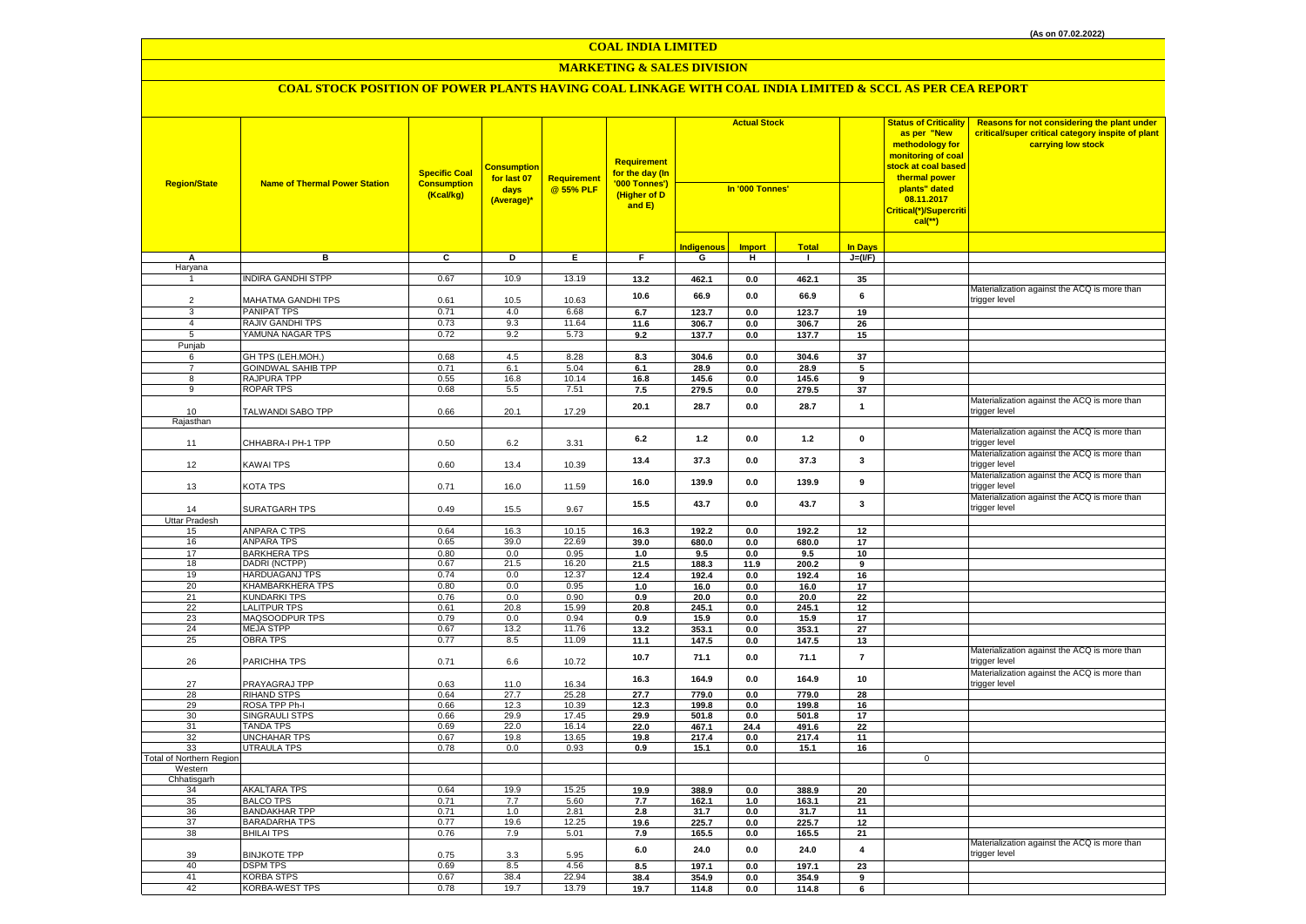## **MARKETING & SALES DIVISION**

| <b>Region/State</b>             | <b>Name of Thermal Power Station</b>     | <b>Specific Coal</b><br><b>Consumption</b><br>(Kcal/kg) | <b>Consumption</b><br>for last 07<br>days<br>(Average)* | Requirement<br>@ 55% PLF | Requirement<br>for the day (In<br>'000 Tonnes')<br>(Higher of D<br>and E) | <b>Actual Stock</b><br>In '000 Tonnes' |               |                | <b>Status of Criticality</b><br>as per "New<br>methodology for<br>monitoring of coal<br><mark>stock at coal based</mark><br>thermal power<br>plants" dated<br>08.11.2017<br><mark>Critical(*)/Supercrit</mark> i<br>$cal$ (**) |             | Reasons for not considering the plant under<br>critical/super critical category inspite of plant<br>carrying low stock |
|---------------------------------|------------------------------------------|---------------------------------------------------------|---------------------------------------------------------|--------------------------|---------------------------------------------------------------------------|----------------------------------------|---------------|----------------|--------------------------------------------------------------------------------------------------------------------------------------------------------------------------------------------------------------------------------|-------------|------------------------------------------------------------------------------------------------------------------------|
|                                 |                                          |                                                         |                                                         |                          |                                                                           | <b>Indigenous</b>                      | <b>Import</b> | <b>Total</b>   | <b>In Days</b>                                                                                                                                                                                                                 |             |                                                                                                                        |
| Α                               | в                                        | C                                                       | D                                                       | E.                       | F.                                                                        | G                                      | н             | $\blacksquare$ | $J=(VF)$                                                                                                                                                                                                                       |             |                                                                                                                        |
| Haryana<br>$\mathbf{1}$         |                                          |                                                         |                                                         |                          |                                                                           |                                        |               |                |                                                                                                                                                                                                                                |             |                                                                                                                        |
|                                 | <b>NDIRA GANDHI STPP</b>                 | 0.67                                                    | 10.9                                                    | 13.19                    | 13.2                                                                      | 462.1                                  | $0.0\,$       | 462.1          | 35                                                                                                                                                                                                                             |             | Materialization against the ACQ is more than                                                                           |
| $\overline{2}$                  | MAHATMA GANDHI TPS                       | 0.61                                                    | 10.5                                                    | 10.63                    | 10.6                                                                      | 66.9                                   | 0.0           | 66.9           | 6                                                                                                                                                                                                                              |             | trigger level                                                                                                          |
| 3                               | PANIPAT TPS                              | 0.71                                                    | 4.0                                                     | 6.68                     | 6.7                                                                       | 123.7                                  | 0.0           | 123.7          | 19                                                                                                                                                                                                                             |             |                                                                                                                        |
| $\overline{4}$                  | RAJIV GANDHI TPS                         | 0.73                                                    | 9.3                                                     | 11.64                    | 11.6                                                                      | 306.7                                  | 0.0           | 306.7          | 26                                                                                                                                                                                                                             |             |                                                                                                                        |
| 5                               | YAMUNA NAGAR TPS                         | 0.72                                                    | 9.2                                                     | 5.73                     | 9.2                                                                       | 137.7                                  | 0.0           | 137.7          | 15                                                                                                                                                                                                                             |             |                                                                                                                        |
| Punjab                          |                                          |                                                         |                                                         |                          |                                                                           |                                        |               |                |                                                                                                                                                                                                                                |             |                                                                                                                        |
| 6                               | GH TPS (LEH.MOH.)                        | 0.68                                                    | 4.5                                                     | 8.28                     | 8.3                                                                       | 304.6                                  | $0.0\,$       | 304.6          | 37                                                                                                                                                                                                                             |             |                                                                                                                        |
| $\overline{7}$                  | <b>GOINDWAL SAHIB TPP</b>                | 0.71                                                    | 6.1                                                     | 5.04                     | 6.1                                                                       | 28.9                                   | $0.0\,$       | 28.9           | 5                                                                                                                                                                                                                              |             |                                                                                                                        |
| 8                               | <b>RAJPURA TPP</b>                       | 0.55                                                    | 16.8                                                    | 10.14                    | 16.8                                                                      | 145.6                                  | 0.0           | 145.6          | 9                                                                                                                                                                                                                              |             |                                                                                                                        |
| 9                               | <b>ROPAR TPS</b>                         | 0.68                                                    | 5.5                                                     | 7.51                     | 7.5                                                                       | 279.5                                  | 0.0           | 279.5          | 37                                                                                                                                                                                                                             |             |                                                                                                                        |
| 10                              | TALWANDI SABO TPP                        | 0.66                                                    | 20.1                                                    | 17.29                    | 20.1                                                                      | 28.7                                   | 0.0           | 28.7           | $\overline{1}$                                                                                                                                                                                                                 |             | Materialization against the ACQ is more than<br>trigger level                                                          |
| Rajasthan                       |                                          |                                                         |                                                         |                          |                                                                           |                                        |               |                |                                                                                                                                                                                                                                |             |                                                                                                                        |
|                                 |                                          |                                                         |                                                         |                          |                                                                           |                                        |               |                |                                                                                                                                                                                                                                |             | Materialization against the ACQ is more than                                                                           |
| 11                              | CHHABRA-I PH-1 TPP                       | 0.50                                                    | 6.2                                                     | 3.31                     | 6.2                                                                       | 1.2                                    | 0.0           | 1.2            | $\mathbf 0$                                                                                                                                                                                                                    |             | trigger level                                                                                                          |
|                                 |                                          |                                                         |                                                         |                          |                                                                           |                                        |               |                |                                                                                                                                                                                                                                |             | Materialization against the ACQ is more than                                                                           |
| 12                              | KAWAI TPS                                | 0.60                                                    | 13.4                                                    | 10.39                    | 13.4                                                                      | 37.3                                   | $0.0\,$       | 37.3           | 3                                                                                                                                                                                                                              |             | trigger level                                                                                                          |
|                                 |                                          |                                                         |                                                         |                          | 16.0                                                                      | 139.9                                  | $0.0\,$       | 139.9          | 9                                                                                                                                                                                                                              |             | Materialization against the ACQ is more than                                                                           |
| 13                              | KOTA TPS                                 | 0.71                                                    | 16.0                                                    | 11.59                    |                                                                           |                                        |               |                |                                                                                                                                                                                                                                |             | rigger level                                                                                                           |
|                                 |                                          |                                                         |                                                         |                          | 15.5                                                                      | 43.7                                   | 0.0           | 43.7           | 3                                                                                                                                                                                                                              |             | Materialization against the ACQ is more than                                                                           |
| 14                              | SURATGARH TPS                            | 0.49                                                    | 15.5                                                    | 9.67                     |                                                                           |                                        |               |                |                                                                                                                                                                                                                                |             | rigger level                                                                                                           |
| <b>Uttar Pradesh</b>            | <b>ANPARA C TPS</b>                      | 0.64                                                    | 16.3                                                    | 10.15                    |                                                                           |                                        |               |                |                                                                                                                                                                                                                                |             |                                                                                                                        |
| 15<br>16                        | <b>ANPARA TPS</b>                        | 0.65                                                    | 39.0                                                    | 22.69                    | 16.3<br>39.0                                                              | 192.2<br>680.0                         | 0.0<br>0.0    | 192.2<br>680.0 | 12<br>17                                                                                                                                                                                                                       |             |                                                                                                                        |
| 17                              | <b>BARKHERA TPS</b>                      | 0.80                                                    | 0.0                                                     | 0.95                     | 1.0                                                                       | 9.5                                    | 0.0           | 9.5            | 10                                                                                                                                                                                                                             |             |                                                                                                                        |
| 18                              | DADRI (NCTPP)                            | 0.67                                                    | 21.5                                                    | 16.20                    | 21.5                                                                      | 188.3                                  | 11.9          | 200.2          | 9                                                                                                                                                                                                                              |             |                                                                                                                        |
| 19                              | <b>HARDUAGANJ TPS</b>                    | 0.74                                                    | 0.0                                                     | 12.37                    | 12.4                                                                      | 192.4                                  | $0.0\,$       | 192.4          | 16                                                                                                                                                                                                                             |             |                                                                                                                        |
| 20                              | KHAMBARKHERA TPS                         | 0.80                                                    | 0.0                                                     | 0.95                     | $1.0$                                                                     | 16.0                                   | 0.0           | 16.0           | 17                                                                                                                                                                                                                             |             |                                                                                                                        |
| 21                              | <b>KUNDARKI TPS</b>                      | 0.76                                                    | 0.0                                                     | 0.90                     | 0.9                                                                       | 20.0                                   | 0.0           | 20.0           | 22                                                                                                                                                                                                                             |             |                                                                                                                        |
| 22                              | <b>LALITPUR TPS</b>                      | 0.61                                                    | 20.8                                                    | 15.99                    | 20.8                                                                      | 245.1                                  | 0.0           | 245.1          | 12                                                                                                                                                                                                                             |             |                                                                                                                        |
| 23                              | MAQSOODPUR TPS                           | 0.79                                                    | 0.0                                                     | 0.94                     | 0.9                                                                       | 15.9                                   | 0.0           | 15.9           | 17                                                                                                                                                                                                                             |             |                                                                                                                        |
| 24                              | <b>MEJA STPP</b>                         | 0.67                                                    | 13.2                                                    | 11.76                    | 13.2                                                                      | 353.1                                  | 0.0           | 353.1          | 27                                                                                                                                                                                                                             |             |                                                                                                                        |
| 25                              | <b>OBRA TPS</b>                          | 0.77                                                    | 8.5                                                     | 11.09                    | 11.1                                                                      | 147.5                                  | 0.0           | 147.5          | 13                                                                                                                                                                                                                             |             | Materialization against the ACQ is more than                                                                           |
| 26                              | PARICHHA TPS                             | 0.71                                                    | 6.6                                                     | 10.72                    | 10.7                                                                      | 71.1                                   | 0.0           | 71.1           | $\overline{7}$                                                                                                                                                                                                                 |             | rigger level                                                                                                           |
|                                 |                                          |                                                         |                                                         |                          |                                                                           |                                        |               |                |                                                                                                                                                                                                                                |             | Materialization against the ACQ is more than                                                                           |
| 27                              | PRAYAGRAJ TPP                            | 0.63                                                    | 11.0                                                    | 16.34                    | 16.3                                                                      | 164.9                                  | $0.0\,$       | 164.9          | 10                                                                                                                                                                                                                             |             | rigger level                                                                                                           |
| 28                              | <b>RIHAND STPS</b>                       | 0.64                                                    | 27.7                                                    | 25.28                    | 27.7                                                                      | 779.0                                  | 0.0           | 779.0          | 28                                                                                                                                                                                                                             |             |                                                                                                                        |
| 29                              | ROSA TPP Ph-I                            | 0.66                                                    | 12.3                                                    | 10.39                    | 12.3                                                                      | 199.8                                  | $0.0\,$       | 199.8          | 16                                                                                                                                                                                                                             |             |                                                                                                                        |
| 30                              | SINGRAULI STPS                           | 0.66                                                    | 29.9                                                    | 17.45                    | 29.9                                                                      | 501.8                                  | 0.0           | 501.8          | 17                                                                                                                                                                                                                             |             |                                                                                                                        |
| 31<br>32                        | <b>TANDA TPS</b><br><b>UNCHAHAR TPS</b>  | 0.69<br>0.67                                            | 22.0<br>19.8                                            | 16.14<br>13.65           | 22.0<br>19.8                                                              | 467.1<br>217.4                         | 24.4<br>0.0   | 491.6<br>217.4 | 22<br>11                                                                                                                                                                                                                       |             |                                                                                                                        |
| 33                              | <b>UTRAULA TPS</b>                       | 0.78                                                    | 0.0                                                     | 0.93                     | 0.9                                                                       | 15.1                                   | 0.0           | 15.1           | 16                                                                                                                                                                                                                             |             |                                                                                                                        |
| <b>Total of Northern Region</b> |                                          |                                                         |                                                         |                          |                                                                           |                                        |               |                |                                                                                                                                                                                                                                | $\mathbf 0$ |                                                                                                                        |
| Western                         |                                          |                                                         |                                                         |                          |                                                                           |                                        |               |                |                                                                                                                                                                                                                                |             |                                                                                                                        |
| Chhatisgarh                     |                                          |                                                         |                                                         |                          |                                                                           |                                        |               |                |                                                                                                                                                                                                                                |             |                                                                                                                        |
| 34                              | <b>AKALTARA TPS</b>                      | 0.64                                                    | 19.9                                                    | 15.25                    | 19.9                                                                      | 388.9                                  | 0.0           | 388.9          | 20                                                                                                                                                                                                                             |             |                                                                                                                        |
| 35                              | <b>BALCO TPS</b><br><b>BANDAKHAR TPP</b> | 0.71                                                    | 7.7                                                     | 5.60                     | 7.7                                                                       | 162.1                                  | $1.0$         | 163.1          | 21                                                                                                                                                                                                                             |             |                                                                                                                        |
| 36<br>37                        | <b>BARADARHA TPS</b>                     | 0.71<br>0.77                                            | 1.0<br>19.6                                             | 2.81<br>12.25            | 2.8                                                                       | 31.7                                   | 0.0           | 31.7           | 11                                                                                                                                                                                                                             |             |                                                                                                                        |
| 38                              | <b>BHILAI TPS</b>                        | 0.76                                                    | 7.9                                                     | 5.01                     | 19.6<br>7.9                                                               | 225.7<br>165.5                         | 0.0<br>0.0    | 225.7<br>165.5 | 12<br>21                                                                                                                                                                                                                       |             |                                                                                                                        |
|                                 |                                          |                                                         |                                                         |                          |                                                                           |                                        |               |                |                                                                                                                                                                                                                                |             | Materialization against the ACQ is more than                                                                           |
| 39                              | <b>BINJKOTE TPP</b>                      | 0.75                                                    | 3.3                                                     | 5.95                     | $6.0\,$                                                                   | 24.0                                   | $0.0\,$       | 24.0           | $\overline{4}$                                                                                                                                                                                                                 |             | rigger level                                                                                                           |
| 40                              | <b>DSPM TPS</b>                          | 0.69                                                    | 8.5                                                     | 4.56                     | 8.5                                                                       | 197.1                                  | 0.0           | 197.1          | 23                                                                                                                                                                                                                             |             |                                                                                                                        |
| 41                              | <b>KORBA STPS</b>                        | 0.67                                                    | 38.4                                                    | 22.94                    | 38.4                                                                      | 354.9                                  | 0.0           | 354.9          | 9                                                                                                                                                                                                                              |             |                                                                                                                        |
| 42                              | KORBA-WEST TPS                           | 0.78                                                    | 19.7                                                    | 13.79                    | 19.7                                                                      | 114.8                                  | 0.0           | 114.8          | 6                                                                                                                                                                                                                              |             |                                                                                                                        |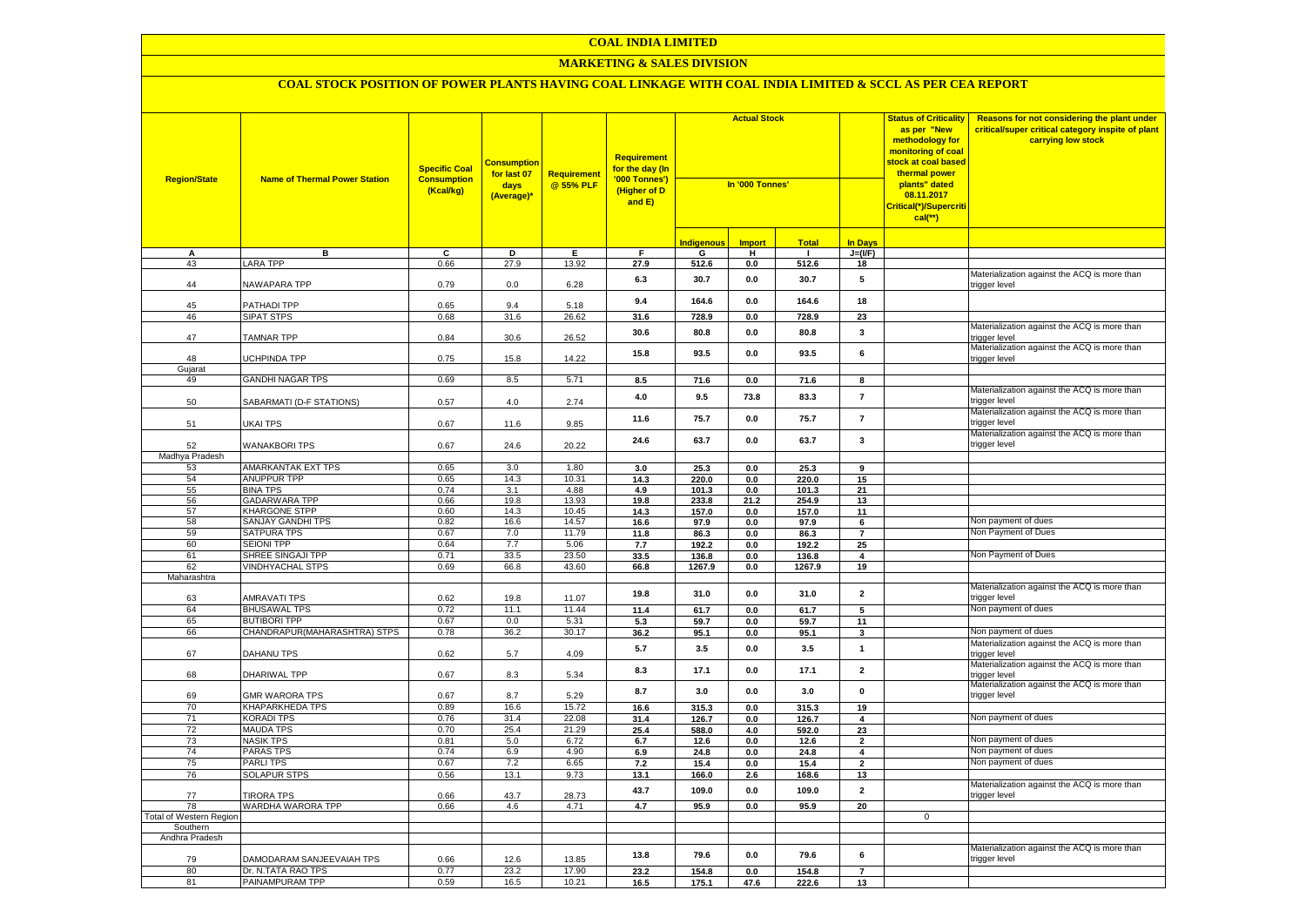#### **MARKETING & SALES DIVISION**

| <b>Region/State</b>     | <b>Name of Thermal Power Station</b> | <b>Specific Coal</b><br><b>Consumption</b><br>(Kcal/kg) | <b>Consumption</b><br>for last 07<br>days<br>(Average)* | Requirement<br>@ 55% PLF | <b>Requirement</b><br>f <mark>or the day (In</mark><br>'000 Tonnes')<br>(Higher of D<br>and E) |                   | <b>Actual Stock</b><br>In '000 Tonnes' |              |                         |              |                                                               |  |  |  |  |  |  |  | <b>Status of Criticality</b><br>as per "New<br>methodology for<br>monitoring of coal<br><mark>stock at coal based</mark><br>thermal power<br>plants" dated<br>08.11.2017<br>Critical(*)/Supercriti<br>$cal(**)$ | Reasons for not considering the plant under<br>critical/super critical category inspite of plant<br>carrying low stock |
|-------------------------|--------------------------------------|---------------------------------------------------------|---------------------------------------------------------|--------------------------|------------------------------------------------------------------------------------------------|-------------------|----------------------------------------|--------------|-------------------------|--------------|---------------------------------------------------------------|--|--|--|--|--|--|--|-----------------------------------------------------------------------------------------------------------------------------------------------------------------------------------------------------------------|------------------------------------------------------------------------------------------------------------------------|
|                         |                                      |                                                         |                                                         |                          |                                                                                                | <u>Indigenous</u> | <b>Import</b>                          | <b>Total</b> | <b>In Days</b>          |              |                                                               |  |  |  |  |  |  |  |                                                                                                                                                                                                                 |                                                                                                                        |
| А                       | в                                    | C                                                       | D                                                       | Ε.                       | F                                                                                              | G                 | н                                      | - 1          | $J=(VF)$                |              |                                                               |  |  |  |  |  |  |  |                                                                                                                                                                                                                 |                                                                                                                        |
| 43                      | <b>ARA TPP</b>                       | 0.66                                                    | 27.9                                                    | 13.92                    | 27.9                                                                                           | 512.6             | 0.0                                    | 512.6        | 18                      |              |                                                               |  |  |  |  |  |  |  |                                                                                                                                                                                                                 |                                                                                                                        |
| 44                      | <b>NAWAPARA TPP</b>                  | 0.79                                                    | 0.0                                                     | 6.28                     | 6.3                                                                                            | 30.7              | 0.0                                    | 30.7         | 5                       |              | Materialization against the ACQ is more than<br>trigger level |  |  |  |  |  |  |  |                                                                                                                                                                                                                 |                                                                                                                        |
| 45                      | PATHADI TPP                          | 0.65                                                    | 9.4                                                     | 5.18                     | 9.4                                                                                            | 164.6             | 0.0                                    | 164.6        | 18                      |              |                                                               |  |  |  |  |  |  |  |                                                                                                                                                                                                                 |                                                                                                                        |
| 46                      | <b>SIPAT STPS</b>                    | 0.68                                                    | 31.6                                                    | 26.62                    | 31.6                                                                                           | 728.9             | 0.0                                    | 728.9        | 23                      |              |                                                               |  |  |  |  |  |  |  |                                                                                                                                                                                                                 |                                                                                                                        |
| 47                      | <b>TAMNAR TPP</b>                    | 0.84                                                    | 30.6                                                    | 26.52                    | 30.6                                                                                           | 80.8              | 0.0                                    | 80.8         | 3                       |              | Materialization against the ACQ is more than<br>trigger level |  |  |  |  |  |  |  |                                                                                                                                                                                                                 |                                                                                                                        |
| 48                      | <b>JCHPINDA TPP</b>                  | 0.75                                                    | 15.8                                                    | 14.22                    | 15.8                                                                                           | 93.5              | 0.0                                    | 93.5         | 6                       |              | Materialization against the ACQ is more than<br>trigger level |  |  |  |  |  |  |  |                                                                                                                                                                                                                 |                                                                                                                        |
| Gujarat                 |                                      |                                                         |                                                         |                          |                                                                                                |                   |                                        |              |                         |              |                                                               |  |  |  |  |  |  |  |                                                                                                                                                                                                                 |                                                                                                                        |
| 49                      | <b>GANDHI NAGAR TPS</b>              | 0.69                                                    | 8.5                                                     | 5.71                     | 8.5                                                                                            | 71.6              | 0.0                                    | 71.6         | 8                       |              | Materialization against the ACQ is more than                  |  |  |  |  |  |  |  |                                                                                                                                                                                                                 |                                                                                                                        |
| 50                      | SABARMATI (D-F STATIONS)             | 0.57                                                    | 4.0                                                     | 2.74                     | 4.0                                                                                            | 9.5               | 73.8                                   | 83.3         | $\overline{7}$          |              | rigger level<br>Materialization against the ACQ is more than  |  |  |  |  |  |  |  |                                                                                                                                                                                                                 |                                                                                                                        |
| 51                      | UKAI TPS                             | 0.67                                                    | 11.6                                                    | 9.85                     | 11.6                                                                                           | 75.7              | 0.0                                    | 75.7         | $\overline{7}$          |              | trigger level                                                 |  |  |  |  |  |  |  |                                                                                                                                                                                                                 |                                                                                                                        |
| 52                      | <b>WANAKBORI TPS</b>                 | 0.67                                                    | 24.6                                                    | 20.22                    | 24.6                                                                                           | 63.7              | 0.0                                    | 63.7         | 3                       |              | Materialization against the ACQ is more than<br>rigger level  |  |  |  |  |  |  |  |                                                                                                                                                                                                                 |                                                                                                                        |
| Madhya Pradesh          |                                      |                                                         |                                                         |                          |                                                                                                |                   |                                        |              |                         |              |                                                               |  |  |  |  |  |  |  |                                                                                                                                                                                                                 |                                                                                                                        |
| 53                      | AMARKANTAK EXT TPS                   | 0.65                                                    | 3.0                                                     | 1.80                     | 3.0                                                                                            | 25.3              | 0.0                                    | 25.3         | 9                       |              |                                                               |  |  |  |  |  |  |  |                                                                                                                                                                                                                 |                                                                                                                        |
| 54                      | <b>ANUPPUR TPP</b>                   | 0.65                                                    | 14.3                                                    | 10.31                    | 14.3                                                                                           | 220.0             | 0.0                                    | 220.0        | 15                      |              |                                                               |  |  |  |  |  |  |  |                                                                                                                                                                                                                 |                                                                                                                        |
| 55                      | <b>BINA TPS</b>                      | 0.74                                                    | 3.1                                                     | 4.88                     | 4.9                                                                                            | 101.3             | 0.0                                    | 101.3        | 21                      |              |                                                               |  |  |  |  |  |  |  |                                                                                                                                                                                                                 |                                                                                                                        |
| 56                      | <b>GADARWARA TPP</b>                 | 0.66                                                    | 19.8                                                    | 13.93                    | 19.8                                                                                           | 233.8             | 21.2                                   | 254.9        | 13                      |              |                                                               |  |  |  |  |  |  |  |                                                                                                                                                                                                                 |                                                                                                                        |
| 57                      | KHARGONE STPP                        | 0.60                                                    | 14.3                                                    | 10.45                    | 14.3                                                                                           | 157.0             | $0.0\,$                                | 157.0        | 11                      |              | Non payment of dues                                           |  |  |  |  |  |  |  |                                                                                                                                                                                                                 |                                                                                                                        |
| 58<br>59                | SANJAY GANDHI TPS<br>SATPURA TPS     | 0.82<br>0.67                                            | 16.6<br>7.0                                             | 14.57<br>11.79           | 16.6<br>11.8                                                                                   | 97.9<br>86.3      | $0.0\,$<br>0.0                         | 97.9<br>86.3 | 6<br>$\overline{7}$     |              | Non Payment of Dues                                           |  |  |  |  |  |  |  |                                                                                                                                                                                                                 |                                                                                                                        |
| 60                      | <b>SEIONI TPP</b>                    | 0.64                                                    | 7.7                                                     | 5.06                     | 7.7                                                                                            | 192.2             | 0.0                                    | 192.2        | 25                      |              |                                                               |  |  |  |  |  |  |  |                                                                                                                                                                                                                 |                                                                                                                        |
| 61                      | SHREE SINGAJI TPP                    | 0.71                                                    | 33.5                                                    | 23.50                    | 33.5                                                                                           | 136.8             | $0.0\,$                                | 136.8        | 4                       |              | Non Payment of Dues                                           |  |  |  |  |  |  |  |                                                                                                                                                                                                                 |                                                                                                                        |
| 62                      | <b>VINDHYACHAL STPS</b>              | 0.69                                                    | 66.8                                                    | 43.60                    | 66.8                                                                                           | 1267.9            | 0.0                                    | 1267.9       | 19                      |              |                                                               |  |  |  |  |  |  |  |                                                                                                                                                                                                                 |                                                                                                                        |
| Maharashtra             |                                      |                                                         |                                                         |                          |                                                                                                |                   |                                        |              |                         |              |                                                               |  |  |  |  |  |  |  |                                                                                                                                                                                                                 |                                                                                                                        |
| 63                      | AMRAVATI TPS                         | 0.62                                                    | 19.8                                                    | 11.07                    | 19.8                                                                                           | 31.0              | $0.0\,$                                | 31.0         | $\overline{2}$          |              | Materialization against the ACQ is more than<br>trigger level |  |  |  |  |  |  |  |                                                                                                                                                                                                                 |                                                                                                                        |
| 64                      | <b>BHUSAWAL TPS</b>                  | 0.72                                                    | 11.1                                                    | 11.44                    | 11.4                                                                                           | 61.7              | $0.0\,$                                | 61.7         | 5                       |              | Non payment of dues                                           |  |  |  |  |  |  |  |                                                                                                                                                                                                                 |                                                                                                                        |
| 65                      | <b>BUTIBORI TPP</b>                  | 0.67                                                    | 0.0                                                     | 5.31                     | 5.3                                                                                            | 59.7              | 0.0                                    | 59.7         | 11                      |              |                                                               |  |  |  |  |  |  |  |                                                                                                                                                                                                                 |                                                                                                                        |
| 66                      | CHANDRAPUR(MAHARASHTRA) STPS         | 0.78                                                    | 36.2                                                    | 30.17                    | 36.2                                                                                           | 95.1              | 0.0                                    | 95.1         | 3                       |              | Non payment of dues                                           |  |  |  |  |  |  |  |                                                                                                                                                                                                                 |                                                                                                                        |
| 67                      | <b>DAHANU TPS</b>                    | 0.62                                                    | 5.7                                                     | 4.09                     | 5.7                                                                                            | 3.5               | 0.0                                    | 3.5          | $\mathbf{1}$            |              | Materialization against the ACQ is more than<br>rigger level  |  |  |  |  |  |  |  |                                                                                                                                                                                                                 |                                                                                                                        |
| 68                      | DHARIWAL TPP                         | 0.67                                                    | 8.3                                                     | 5.34                     | 8.3                                                                                            | 17.1              | 0.0                                    | 17.1         | $\overline{2}$          |              | Materialization against the ACQ is more than<br>trigger level |  |  |  |  |  |  |  |                                                                                                                                                                                                                 |                                                                                                                        |
| 69                      | <b>GMR WARORA TPS</b>                | 0.67                                                    | 8.7                                                     | 5.29                     | 8.7                                                                                            | 3.0               | 0.0                                    | 3.0          | $\pmb{0}$               |              | Materialization against the ACQ is more than<br>trigger level |  |  |  |  |  |  |  |                                                                                                                                                                                                                 |                                                                                                                        |
| 70                      | <b>KHAPARKHEDA TPS</b>               | 0.89                                                    | 16.6                                                    | 15.72                    | 16.6                                                                                           | 315.3             | 0.0                                    | 315.3        | 19                      |              |                                                               |  |  |  |  |  |  |  |                                                                                                                                                                                                                 |                                                                                                                        |
| 71                      | <b>KORADI TPS</b>                    | 0.76                                                    | 31.4                                                    | 22.08                    | 31.4                                                                                           | 126.7             | 0.0                                    | 126.7        | $\overline{\mathbf{4}}$ |              | Non payment of dues                                           |  |  |  |  |  |  |  |                                                                                                                                                                                                                 |                                                                                                                        |
| 72<br>73                | <b>MAUDA TPS</b><br><b>NASIK TPS</b> | 0.70<br>0.81                                            | 25.4<br>5.0                                             | 21.29<br>6.72            | 25.4                                                                                           | 588.0             | 4.0                                    | 592.0        | 23<br>$\overline{2}$    |              | Non payment of dues                                           |  |  |  |  |  |  |  |                                                                                                                                                                                                                 |                                                                                                                        |
| 74                      | PARAS TPS                            | 0.74                                                    | 6.9                                                     | 4.90                     | 6.7<br>6.9                                                                                     | 12.6<br>24.8      | 0.0<br>0.0                             | 12.6<br>24.8 | 4                       |              | Non payment of dues                                           |  |  |  |  |  |  |  |                                                                                                                                                                                                                 |                                                                                                                        |
| 75                      | <b>PARLITPS</b>                      | 0.67                                                    | 7.2                                                     | 6.65                     | 7.2                                                                                            | 15.4              | 0.0                                    | 15.4         | $\overline{\mathbf{2}}$ |              | Non payment of dues                                           |  |  |  |  |  |  |  |                                                                                                                                                                                                                 |                                                                                                                        |
| 76                      | <b>SOLAPUR STPS</b>                  | 0.56                                                    | 13.1                                                    | 9.73                     | 13.1                                                                                           | 166.0             | 2.6                                    | 168.6        | 13                      |              |                                                               |  |  |  |  |  |  |  |                                                                                                                                                                                                                 |                                                                                                                        |
| 77                      | <b>TIRORA TPS</b>                    | 0.66                                                    | 43.7                                                    | 28.73                    | 43.7                                                                                           | 109.0             | $0.0\,$                                | 109.0        | $\mathbf 2$             |              | Materialization against the ACQ is more than<br>trigger level |  |  |  |  |  |  |  |                                                                                                                                                                                                                 |                                                                                                                        |
| 78                      | WARDHA WARORA TPP                    | 0.66                                                    | 4.6                                                     | 4.71                     | 4.7                                                                                            | 95.9              | 0.0                                    | 95.9         | 20                      |              |                                                               |  |  |  |  |  |  |  |                                                                                                                                                                                                                 |                                                                                                                        |
| Total of Western Region |                                      |                                                         |                                                         |                          |                                                                                                |                   |                                        |              |                         | $\mathbf{0}$ |                                                               |  |  |  |  |  |  |  |                                                                                                                                                                                                                 |                                                                                                                        |
| Southern                |                                      |                                                         |                                                         |                          |                                                                                                |                   |                                        |              |                         |              |                                                               |  |  |  |  |  |  |  |                                                                                                                                                                                                                 |                                                                                                                        |
| Andhra Pradesh          |                                      |                                                         |                                                         |                          |                                                                                                |                   |                                        |              |                         |              |                                                               |  |  |  |  |  |  |  |                                                                                                                                                                                                                 |                                                                                                                        |
| 79                      | DAMODARAM SANJEEVAIAH TPS            | 0.66                                                    | 12.6                                                    | 13.85                    | 13.8                                                                                           | 79.6              | 0.0                                    | 79.6         | 6                       |              | Materialization against the ACQ is more than<br>rigger level  |  |  |  |  |  |  |  |                                                                                                                                                                                                                 |                                                                                                                        |
| 80                      | Dr. N.TATA RAO TPS                   | 0.77                                                    | 23.2                                                    | 17.90                    | 23.2                                                                                           | 154.8             | 0.0                                    | 154.8        | $\overline{7}$          |              |                                                               |  |  |  |  |  |  |  |                                                                                                                                                                                                                 |                                                                                                                        |
| 81                      | PAINAMPURAM TPP                      | 0.59                                                    | 16.5                                                    | 10.21                    | 16.5                                                                                           | 175.1             | 47.6                                   | 222.6        | 13                      |              |                                                               |  |  |  |  |  |  |  |                                                                                                                                                                                                                 |                                                                                                                        |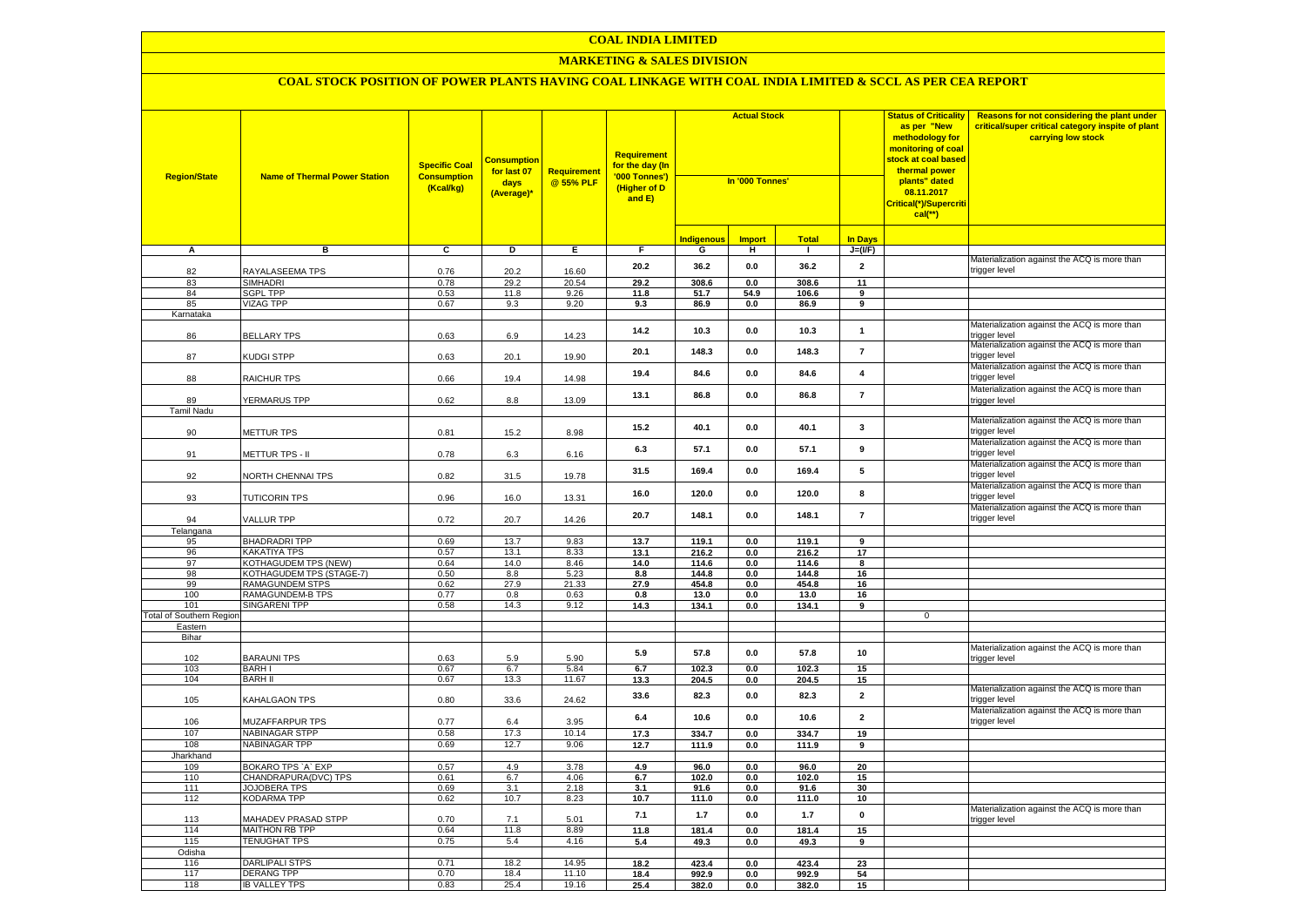#### **MARKETING & SALES DIVISION**

| <b>Region/State</b>      | <b>Name of Thermal Power Station</b>         | <b>Specific Coal</b><br><b>Consumption</b><br>(Kcal/kg) | <b>Consumption</b><br>for last 07<br>days<br>(Average)* | <b>Requirement</b><br>@ 55% PLF | <b>Requirement</b><br>for the day (In<br>'000 Tonnes')<br>(Higher of D<br>and E) | <b>Actual Stock</b><br>In '000 Tonnes' |               |                |                               | <b>Status of Criticality</b><br>as per "New<br>methodology for<br>monitoring of coal<br><mark>stock at coal based</mark><br>thermal power<br>plants" dated<br>08.11.2017<br>Critical(*)/Supercriti<br>$cal$ (**) | Reasons for not considering the plant under<br>critical/super critical category inspite of plant<br>carrying low stock |
|--------------------------|----------------------------------------------|---------------------------------------------------------|---------------------------------------------------------|---------------------------------|----------------------------------------------------------------------------------|----------------------------------------|---------------|----------------|-------------------------------|------------------------------------------------------------------------------------------------------------------------------------------------------------------------------------------------------------------|------------------------------------------------------------------------------------------------------------------------|
|                          |                                              |                                                         |                                                         |                                 |                                                                                  | <b>Indigenous</b>                      | <b>Import</b> | <b>Total</b>   | <b>In Days</b>                |                                                                                                                                                                                                                  |                                                                                                                        |
| A                        | в                                            | c                                                       | Þ                                                       | E                               | F                                                                                | G                                      | н             | $\blacksquare$ | $J=(VF)$                      |                                                                                                                                                                                                                  |                                                                                                                        |
| 82                       | RAYALASEEMA TPS                              | 0.76                                                    | 20.2                                                    | 16.60                           | 20.2                                                                             | 36.2                                   | 0.0           | 36.2           | $\mathbf{2}$                  |                                                                                                                                                                                                                  | Materialization against the ACQ is more than<br>rigger level                                                           |
| 83                       | <b>SIMHADRI</b>                              | 0.78                                                    | 29.2                                                    | 20.54                           | 29.2                                                                             | 308.6                                  | 0.0           | 308.6          | 11                            |                                                                                                                                                                                                                  |                                                                                                                        |
| 84                       | <b>SGPL TPP</b>                              | 0.53                                                    | 11.8                                                    | 9.26                            | 11.8                                                                             | 51.7                                   | 54.9          | 106.6          | 9                             |                                                                                                                                                                                                                  |                                                                                                                        |
| 85<br>Karnataka          | <b>VIZAG TPP</b>                             | 0.67                                                    | 9.3                                                     | 9.20                            | 9.3                                                                              | 86.9                                   | 0.0           | 86.9           | $\overline{9}$                |                                                                                                                                                                                                                  |                                                                                                                        |
| 86                       | <b>BELLARY TPS</b>                           | 0.63                                                    | 6.9                                                     | 14.23                           | 14.2                                                                             | 10.3                                   | 0.0           | 10.3           | $\mathbf{1}$                  |                                                                                                                                                                                                                  | Materialization against the ACQ is more than<br>rigger level                                                           |
| 87                       | KUDGI STPP                                   | 0.63                                                    | 20.1                                                    | 19.90                           | 20.1                                                                             | 148.3                                  | 0.0           | 148.3          | $\overline{7}$                |                                                                                                                                                                                                                  | Materialization against the ACQ is more than<br>trigger level                                                          |
| 88                       | RAICHUR TPS                                  | 0.66                                                    | 19.4                                                    | 14.98                           | 19.4                                                                             | 84.6                                   | 0.0           | 84.6           | $\overline{\mathbf{4}}$       |                                                                                                                                                                                                                  | Materialization against the ACQ is more than<br>rigger level:                                                          |
| 89                       | YERMARUS TPP                                 | 0.62                                                    | 8.8                                                     | 13.09                           | 13.1                                                                             | 86.8                                   | 0.0           | 86.8           | $\overline{7}$                |                                                                                                                                                                                                                  | Materialization against the ACQ is more than<br>trigger level                                                          |
| <b>Tamil Nadu</b><br>90  | METTUR TPS                                   | 0.81                                                    | 15.2                                                    | 8.98                            | 15.2                                                                             | 40.1                                   | 0.0           | 40.1           | 3                             |                                                                                                                                                                                                                  | Materialization against the ACQ is more than<br>trigger level                                                          |
| 91                       | METTUR TPS - II                              | 0.78                                                    | 6.3                                                     | 6.16                            | 6.3                                                                              | 57.1                                   | 0.0           | 57.1           | 9                             |                                                                                                                                                                                                                  | Materialization against the ACQ is more than<br>trigger level                                                          |
| 92                       | NORTH CHENNAI TPS                            | 0.82                                                    | 31.5                                                    | 19.78                           | 31.5                                                                             | 169.4                                  | $0.0\,$       | 169.4          | 5                             |                                                                                                                                                                                                                  | Materialization against the ACQ is more than<br>trigger level                                                          |
| 93                       | <b>TUTICORIN TPS</b>                         | 0.96                                                    | 16.0                                                    | 13.31                           | 16.0                                                                             | 120.0                                  | 0.0           | 120.0          | 8                             |                                                                                                                                                                                                                  | Materialization against the ACQ is more than<br>trigger level                                                          |
| 94                       | VALLUR TPP                                   | 0.72                                                    | 20.7                                                    | 14.26                           | 20.7                                                                             | 148.1                                  | 0.0           | 148.1          | $\overline{7}$                |                                                                                                                                                                                                                  | Materialization against the ACQ is more than<br>rigger level                                                           |
| Telangana                |                                              |                                                         |                                                         |                                 |                                                                                  |                                        |               |                |                               |                                                                                                                                                                                                                  |                                                                                                                        |
| 95<br>96                 | <b>BHADRADRI TPP</b><br><b>KAKATIYA TPS</b>  | 0.69<br>0.57                                            | 13.7<br>13.1                                            | 9.83<br>8.33                    | 13.7<br>13.1                                                                     | 119.1<br>216.2                         | 0.0<br>0.0    | 119.1<br>216.2 | 9<br>17                       |                                                                                                                                                                                                                  |                                                                                                                        |
| 97                       | <b>KOTHAGUDEM TPS (NEW)</b>                  | 0.64                                                    | 14.0                                                    | 8.46                            | 14.0                                                                             | 114.6                                  | 0.0           | 114.6          | 8                             |                                                                                                                                                                                                                  |                                                                                                                        |
| 98                       | KOTHAGUDEM TPS (STAGE-7)                     | 0.50                                                    | 8.8                                                     | 5.23                            | 8.8                                                                              | 144.8                                  | $0.0\,$       | 144.8          | 16                            |                                                                                                                                                                                                                  |                                                                                                                        |
| 99                       | RAMAGUNDEM STPS                              | 0.62                                                    | 27.9                                                    | 21.33                           | 27.9                                                                             | 454.8                                  | 0.0           | 454.8          | 16                            |                                                                                                                                                                                                                  |                                                                                                                        |
| 100                      | RAMAGUNDEM-B TPS                             | 0.77                                                    | 0.8                                                     | 0.63                            | 0.8                                                                              | 13.0                                   | 0.0           | 13.0           | 16                            |                                                                                                                                                                                                                  |                                                                                                                        |
| 101                      | <b>SINGARENI TPP</b>                         | 0.58                                                    | 14.3                                                    | 9.12                            | 14.3                                                                             | 134.1                                  | 0.0           | 134.1          | 9                             |                                                                                                                                                                                                                  |                                                                                                                        |
| Total of Southern Region |                                              |                                                         |                                                         |                                 |                                                                                  |                                        |               |                |                               | $\mathbf 0$                                                                                                                                                                                                      |                                                                                                                        |
| Eastern<br>Bihar         |                                              |                                                         |                                                         |                                 |                                                                                  |                                        |               |                |                               |                                                                                                                                                                                                                  |                                                                                                                        |
| 102                      | <b>BARAUNI TPS</b>                           | 0.63                                                    | 5.9                                                     | 5.90                            | 5.9                                                                              | 57.8                                   | 0.0           | 57.8           | 10                            |                                                                                                                                                                                                                  | Materialization against the ACQ is more than<br>trigger level                                                          |
| 103<br>104               | <b>BARHI</b><br><b>BARH II</b>               | 0.67<br>0.67                                            | 6.7<br>13.3                                             | 5.84<br>11.67                   | 6.7                                                                              | 102.3<br>204.5                         | 0.0           | 102.3          | 15                            |                                                                                                                                                                                                                  |                                                                                                                        |
| 105                      | KAHALGAON TPS                                | 0.80                                                    | 33.6                                                    | 24.62                           | 13.3<br>33.6                                                                     | 82.3                                   | 0.0<br>0.0    | 204.5<br>82.3  | 15<br>$\overline{\mathbf{2}}$ |                                                                                                                                                                                                                  | Materialization against the ACQ is more than<br>rigger level                                                           |
| 106                      | <b>MUZAFFARPUR TPS</b>                       | 0.77                                                    | 6.4                                                     | 3.95                            | 6.4                                                                              | 10.6                                   | 0.0           | 10.6           | $\mathbf 2$                   |                                                                                                                                                                                                                  | Materialization against the ACQ is more than<br>rigger level:                                                          |
| 107                      | NABINAGAR STPP                               | 0.58                                                    | 17.3                                                    | 10.14                           | 17.3                                                                             | 334.7                                  | 0.0           | 334.7          | 19                            |                                                                                                                                                                                                                  |                                                                                                                        |
| 108                      | NABINAGAR TPP                                | 0.69                                                    | 12.7                                                    | 9.06                            | 12.7                                                                             | 111.9                                  | 0.0           | 111.9          | 9                             |                                                                                                                                                                                                                  |                                                                                                                        |
| Jharkhand<br>109         | BOKARO TPS `A` EXP                           | 0.57                                                    | 4.9                                                     | 3.78                            | 4.9                                                                              | 96.0                                   | 0.0           | 96.0           | 20                            |                                                                                                                                                                                                                  |                                                                                                                        |
| 110                      | CHANDRAPURA(DVC) TPS                         | 0.61                                                    | 6.7                                                     | 4.06                            | 6.7                                                                              | 102.0                                  | 0.0           | 102.0          | 15                            |                                                                                                                                                                                                                  |                                                                                                                        |
| 111                      | JOJOBERA TPS                                 | 0.69                                                    | 3.1                                                     | 2.18                            | 3.1                                                                              | 91.6                                   | 0.0           | 91.6           | 30                            |                                                                                                                                                                                                                  |                                                                                                                        |
| 112                      | KODARMA TPP                                  | 0.62                                                    | 10.7                                                    | 8.23                            | 10.7                                                                             | 111.0                                  | $0.0\,$       | 111.0          | 10                            |                                                                                                                                                                                                                  | Materialization against the ACQ is more than                                                                           |
| 113<br>114               | MAHADEV PRASAD STPP<br><b>MAITHON RB TPP</b> | 0.70<br>0.64                                            | 7.1<br>11.8                                             | 5.01<br>8.89                    | 7.1<br>11.8                                                                      | 1.7<br>181.4                           | 0.0<br>0.0    | 1.7<br>181.4   | $\pmb{0}$<br>15               |                                                                                                                                                                                                                  | trigger level                                                                                                          |
| 115                      | <b>TENUGHAT TPS</b>                          | 0.75                                                    | 5.4                                                     | 4.16                            | 5.4                                                                              | 49.3                                   | 0.0           | 49.3           | 9                             |                                                                                                                                                                                                                  |                                                                                                                        |
| Odisha                   |                                              |                                                         |                                                         |                                 |                                                                                  |                                        |               |                |                               |                                                                                                                                                                                                                  |                                                                                                                        |
| 116                      | DARLIPALI STPS                               | 0.71                                                    | 18.2                                                    | 14.95                           | 18.2                                                                             | 423.4                                  | 0.0           | 423.4          | 23                            |                                                                                                                                                                                                                  |                                                                                                                        |
| 117                      | DERANG TPP                                   | 0.70                                                    | 18.4                                                    | 11.10                           | 18.4                                                                             | 992.9                                  | 0.0           | 992.9          | 54                            |                                                                                                                                                                                                                  |                                                                                                                        |
| 118                      | <b>IB VALLEY TPS</b>                         | 0.83                                                    | 25.4                                                    | 19.16                           | 25.4                                                                             | 382.0                                  | 0.0           | 382.0          | 15                            |                                                                                                                                                                                                                  |                                                                                                                        |